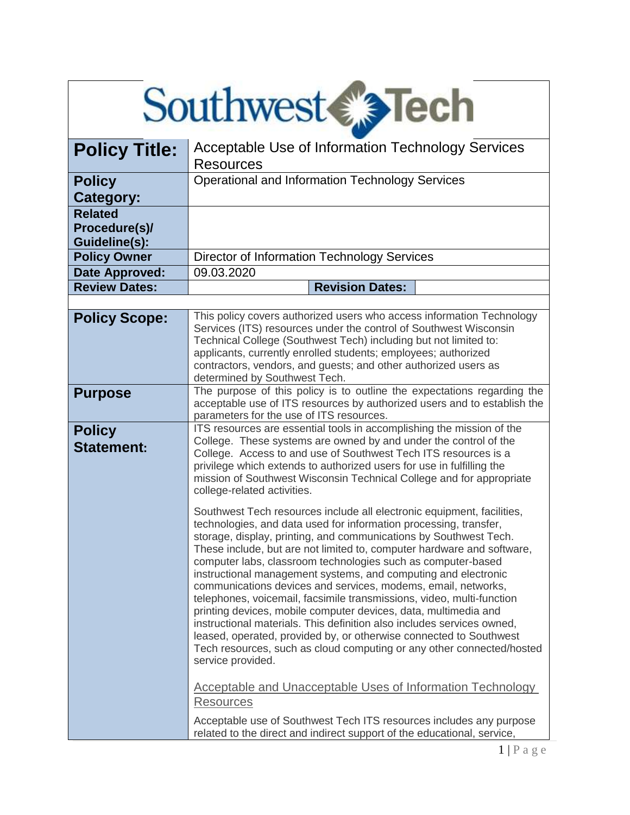| <b>Southwest€® Tech</b>                          |                                                                                                                                                                                                                                                                                                                                                                                                                                                                                                                                                                                                                                                                                                                                                                                                                                                                                                                                                                                                                                                                                                                                                                                                                                                                                                                                                                                                                                                         |  |
|--------------------------------------------------|---------------------------------------------------------------------------------------------------------------------------------------------------------------------------------------------------------------------------------------------------------------------------------------------------------------------------------------------------------------------------------------------------------------------------------------------------------------------------------------------------------------------------------------------------------------------------------------------------------------------------------------------------------------------------------------------------------------------------------------------------------------------------------------------------------------------------------------------------------------------------------------------------------------------------------------------------------------------------------------------------------------------------------------------------------------------------------------------------------------------------------------------------------------------------------------------------------------------------------------------------------------------------------------------------------------------------------------------------------------------------------------------------------------------------------------------------------|--|
| <b>Policy Title:</b>                             | Acceptable Use of Information Technology Services<br><b>Resources</b>                                                                                                                                                                                                                                                                                                                                                                                                                                                                                                                                                                                                                                                                                                                                                                                                                                                                                                                                                                                                                                                                                                                                                                                                                                                                                                                                                                                   |  |
| <b>Policy</b><br>Category:                       | <b>Operational and Information Technology Services</b>                                                                                                                                                                                                                                                                                                                                                                                                                                                                                                                                                                                                                                                                                                                                                                                                                                                                                                                                                                                                                                                                                                                                                                                                                                                                                                                                                                                                  |  |
| <b>Related</b><br>Procedure(s)/<br>Guideline(s): |                                                                                                                                                                                                                                                                                                                                                                                                                                                                                                                                                                                                                                                                                                                                                                                                                                                                                                                                                                                                                                                                                                                                                                                                                                                                                                                                                                                                                                                         |  |
| <b>Policy Owner</b>                              | Director of Information Technology Services                                                                                                                                                                                                                                                                                                                                                                                                                                                                                                                                                                                                                                                                                                                                                                                                                                                                                                                                                                                                                                                                                                                                                                                                                                                                                                                                                                                                             |  |
| Date Approved:                                   | 09.03.2020                                                                                                                                                                                                                                                                                                                                                                                                                                                                                                                                                                                                                                                                                                                                                                                                                                                                                                                                                                                                                                                                                                                                                                                                                                                                                                                                                                                                                                              |  |
| <b>Review Dates:</b>                             | <b>Revision Dates:</b>                                                                                                                                                                                                                                                                                                                                                                                                                                                                                                                                                                                                                                                                                                                                                                                                                                                                                                                                                                                                                                                                                                                                                                                                                                                                                                                                                                                                                                  |  |
| <b>Policy Scope:</b>                             | This policy covers authorized users who access information Technology<br>Services (ITS) resources under the control of Southwest Wisconsin<br>Technical College (Southwest Tech) including but not limited to:<br>applicants, currently enrolled students; employees; authorized<br>contractors, vendors, and guests; and other authorized users as<br>determined by Southwest Tech.                                                                                                                                                                                                                                                                                                                                                                                                                                                                                                                                                                                                                                                                                                                                                                                                                                                                                                                                                                                                                                                                    |  |
| <b>Purpose</b>                                   | The purpose of this policy is to outline the expectations regarding the<br>acceptable use of ITS resources by authorized users and to establish the<br>parameters for the use of ITS resources.                                                                                                                                                                                                                                                                                                                                                                                                                                                                                                                                                                                                                                                                                                                                                                                                                                                                                                                                                                                                                                                                                                                                                                                                                                                         |  |
| <b>Policy</b><br><b>Statement:</b>               | ITS resources are essential tools in accomplishing the mission of the<br>College. These systems are owned by and under the control of the<br>College. Access to and use of Southwest Tech ITS resources is a<br>privilege which extends to authorized users for use in fulfilling the<br>mission of Southwest Wisconsin Technical College and for appropriate<br>college-related activities.<br>Southwest Tech resources include all electronic equipment, facilities,<br>technologies, and data used for information processing, transfer,<br>storage, display, printing, and communications by Southwest Tech.<br>These include, but are not limited to, computer hardware and software,<br>computer labs, classroom technologies such as computer-based<br>instructional management systems, and computing and electronic<br>communications devices and services, modems, email, networks,<br>telephones, voicemail, facsimile transmissions, video, multi-function<br>printing devices, mobile computer devices, data, multimedia and<br>instructional materials. This definition also includes services owned,<br>leased, operated, provided by, or otherwise connected to Southwest<br>Tech resources, such as cloud computing or any other connected/hosted<br>service provided.<br><b>Acceptable and Unacceptable Uses of Information Technology</b><br><b>Resources</b><br>Acceptable use of Southwest Tech ITS resources includes any purpose |  |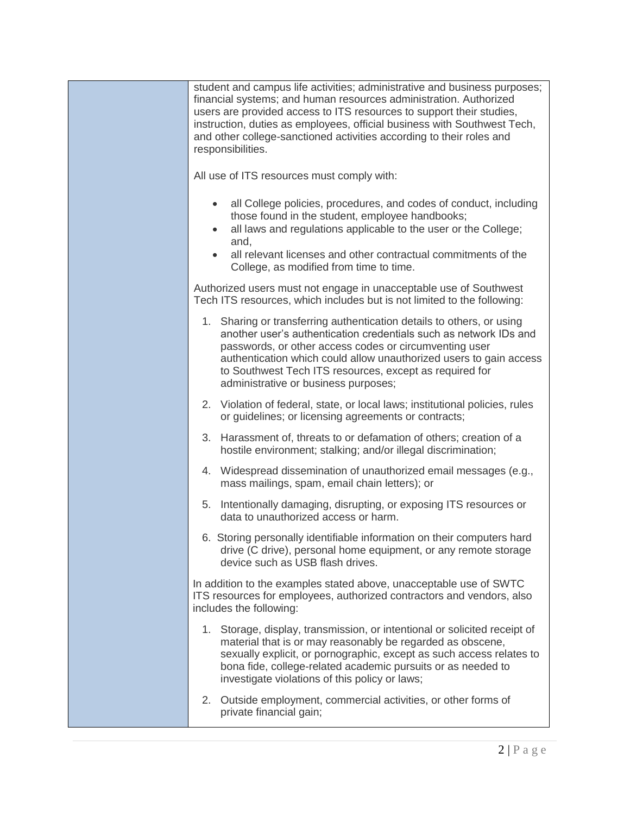| student and campus life activities; administrative and business purposes;<br>financial systems; and human resources administration. Authorized<br>users are provided access to ITS resources to support their studies,<br>instruction, duties as employees, official business with Southwest Tech,<br>and other college-sanctioned activities according to their roles and<br>responsibilities. |
|-------------------------------------------------------------------------------------------------------------------------------------------------------------------------------------------------------------------------------------------------------------------------------------------------------------------------------------------------------------------------------------------------|
| All use of ITS resources must comply with:                                                                                                                                                                                                                                                                                                                                                      |
| all College policies, procedures, and codes of conduct, including<br>those found in the student, employee handbooks;<br>all laws and regulations applicable to the user or the College;<br>and,<br>all relevant licenses and other contractual commitments of the<br>College, as modified from time to time.                                                                                    |
| Authorized users must not engage in unacceptable use of Southwest<br>Tech ITS resources, which includes but is not limited to the following:                                                                                                                                                                                                                                                    |
| 1. Sharing or transferring authentication details to others, or using<br>another user's authentication credentials such as network IDs and<br>passwords, or other access codes or circumventing user<br>authentication which could allow unauthorized users to gain access<br>to Southwest Tech ITS resources, except as required for<br>administrative or business purposes;                   |
| 2. Violation of federal, state, or local laws; institutional policies, rules<br>or guidelines; or licensing agreements or contracts;                                                                                                                                                                                                                                                            |
| 3. Harassment of, threats to or defamation of others; creation of a<br>hostile environment; stalking; and/or illegal discrimination;                                                                                                                                                                                                                                                            |
| 4. Widespread dissemination of unauthorized email messages (e.g.,<br>mass mailings, spam, email chain letters); or                                                                                                                                                                                                                                                                              |
| Intentionally damaging, disrupting, or exposing ITS resources or<br>5.<br>data to unauthorized access or harm.                                                                                                                                                                                                                                                                                  |
| 6. Storing personally identifiable information on their computers hard<br>drive (C drive), personal home equipment, or any remote storage<br>device such as USB flash drives.                                                                                                                                                                                                                   |
| In addition to the examples stated above, unacceptable use of SWTC<br>ITS resources for employees, authorized contractors and vendors, also<br>includes the following:                                                                                                                                                                                                                          |
| 1. Storage, display, transmission, or intentional or solicited receipt of<br>material that is or may reasonably be regarded as obscene,<br>sexually explicit, or pornographic, except as such access relates to<br>bona fide, college-related academic pursuits or as needed to<br>investigate violations of this policy or laws;                                                               |
| 2.<br>Outside employment, commercial activities, or other forms of<br>private financial gain;                                                                                                                                                                                                                                                                                                   |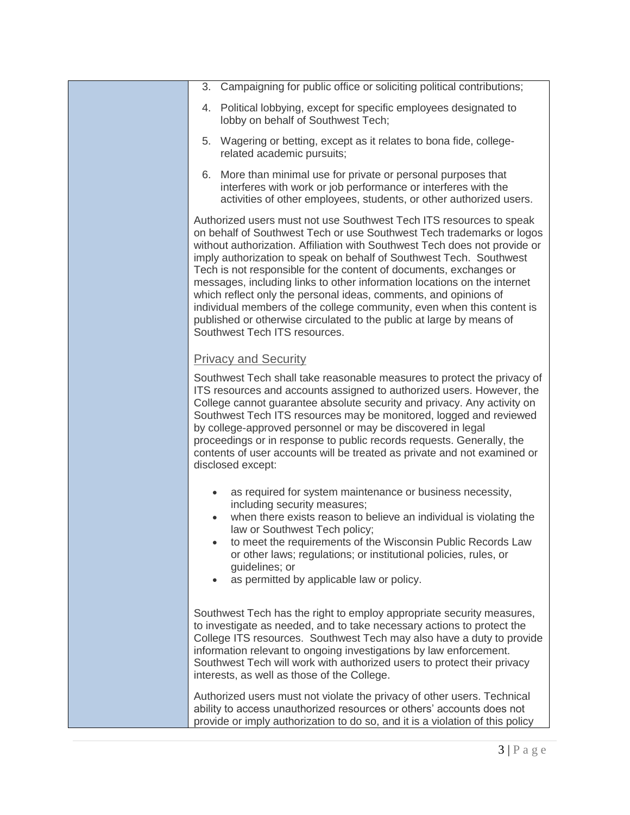- 3. Campaigning for public office or soliciting political contributions;
- 4. Political lobbying, except for specific employees designated to lobby on behalf of Southwest Tech;
- 5. Wagering or betting, except as it relates to bona fide, collegerelated academic pursuits;
- 6. More than minimal use for private or personal purposes that interferes with work or job performance or interferes with the activities of other employees, students, or other authorized users.

Authorized users must not use Southwest Tech ITS resources to speak on behalf of Southwest Tech or use Southwest Tech trademarks or logos without authorization. Affiliation with Southwest Tech does not provide or imply authorization to speak on behalf of Southwest Tech. Southwest Tech is not responsible for the content of documents, exchanges or messages, including links to other information locations on the internet which reflect only the personal ideas, comments, and opinions of individual members of the college community, even when this content is published or otherwise circulated to the public at large by means of Southwest Tech ITS resources.

## Privacy and Security

Southwest Tech shall take reasonable measures to protect the privacy of ITS resources and accounts assigned to authorized users. However, the College cannot guarantee absolute security and privacy. Any activity on Southwest Tech ITS resources may be monitored, logged and reviewed by college-approved personnel or may be discovered in legal proceedings or in response to public records requests. Generally, the contents of user accounts will be treated as private and not examined or disclosed except:

- as required for system maintenance or business necessity, including security measures;
- when there exists reason to believe an individual is violating the law or Southwest Tech policy;
- to meet the requirements of the Wisconsin Public Records Law or other laws; regulations; or institutional policies, rules, or guidelines; or
- as permitted by applicable law or policy.

Southwest Tech has the right to employ appropriate security measures, to investigate as needed, and to take necessary actions to protect the College ITS resources. Southwest Tech may also have a duty to provide information relevant to ongoing investigations by law enforcement. Southwest Tech will work with authorized users to protect their privacy interests, as well as those of the College.

Authorized users must not violate the privacy of other users. Technical ability to access unauthorized resources or others' accounts does not provide or imply authorization to do so, and it is a violation of this policy